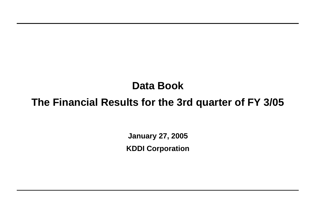**January 27, 2005 KDDI Corporation**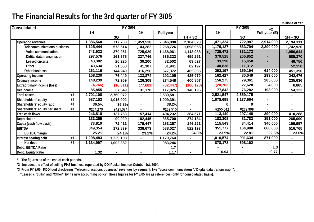| millions of Yen |
|-----------------|
|-----------------|

| Consolidated                   |      |           | FY 3/04   |                          |                  |            |                 | FY 3/05   | $*2$           |           |
|--------------------------------|------|-----------|-----------|--------------------------|------------------|------------|-----------------|-----------|----------------|-----------|
|                                |      | 1H        |           | 2H                       | <b>Full year</b> |            | 1H              |           | Full year (E)  |           |
|                                |      |           | 3Q        |                          |                  | $1H + 3Q$  |                 | 3Q        |                | $1H + 3Q$ |
| Operating revenues             |      | ,386,560  | 717,763   | 1,459,538                | 2,846,098        | 2,104,323  | 1,471,324       | 722,987   | 2,914,000      | 2,194,311 |
| Telecommunications business    |      | 1,125,444 | 573,514   | 1,143,282                | 2,268,726        | 1,698,958  | 1,179,127       | 563,794   | 2,300,000      | 1,742,920 |
| Voice communications           |      | 743,932   | 370,051   | 725,029                  | 1,468,961        | 1,113,983  | 725,472<br>$*3$ | 331,172   |                | 1,056,644 |
| Didital data transmission      |      | 297,576   | 161,675   | 337,746                  | 635,322          | 459,251    | 379,518         | 205,852   |                | 585,370   |
| Leased circuits                |      | 43,302    | 20,225    | 39,200                   | 82,502           | 63,527     | 33,298          | 15,458    |                | 48,756    |
| Other                          |      | 40,634    | 21,563    | 41,307                   | 81,941           | 62,197     | 40,838          | 11,312    |                | 52,150    |
| Other business                 |      | 261,116   | 144,249   | 316,256                  | 577,372          | 405,365    | 292,197         | 159,194   | 614,000        | 451,390   |
| Operating income               |      | 158,230   | 76,449    | 133,874                  | 292,105          | 425,979    | 162,427         | 80,049    | 293,000        | 242,476   |
| Ordinary income                |      | 148,239   | 72,959    | 126,309                  | 274,548          | 400,857    | 156,275         | 79,361    | 285,000        | 235,636   |
| Extraordinary income (loss)    |      | (4, 766)  | (16, 811) | (77, 681)                | (82, 447)        | (160, 128) | (20, 763)       | 27,628    | 4,000          | 6,865     |
| Net income                     |      | 85,855    | 37,549    | 31,170                   | 117,025          | 148,195    | 77,842          | 76,282    | 193,000        | 154,123   |
| Total assets                   | $*1$ | 2,701,108 | 2,760,072 | $\overline{\phantom{0}}$ | 2,639,581        |            | 2,521,547       | 2,559,175 | $\blacksquare$ |           |
| Shareholders' equity           | *1   | 987,153   | 1,015,902 |                          | 1,009,391        |            | 1,078,698       | 1,137,664 |                |           |
| Shareholders' equity ratio     | $*1$ | 36.5%     | 36.8%     |                          | 38.2%            |            | 0               | 0         |                |           |
| Shareholders' equity per share | $*1$ | ¥234,270  | ¥421,084  |                          | ¥239,515         |            | ¥255,642        | ¥269,998  |                |           |
| Free cash flows                |      | 246,818   | 137,753   | 157,414                  | 404,232          | 384,571    | 113,140         | 297,148   | 390,000        | 410,288   |
| Depreciation                   |      | 183,255   | 90,929    | 182,445                  | 365,700          | 274,184    | 183,308         | 81,782    | 351,000        | 265,090   |
| Capex (cash flow basis)        |      | 73,810    | 72,411    | 179,447                  | 253,257          | 146,221    | 115,543         | 84,414    | 340,000        | 199,957   |
| <b>EBITDA</b>                  |      | 349,354   | 172,839   | 338,673                  | 688,027          | 522,193    | 351,777         | 164,988   | 660,000        | 516,765   |
| <b>EBITDA</b> margin           |      | 25.2%     | 24.1%     | 23.2%                    | 24.2%            | 24.8%      | 23.9%           | 22.8%     | 22.6%          | 23.6%     |
| Interest bearing debt          | $*1$ | ,298,483  | 1,229,108 |                          | 1,179,764        |            | 1,010,574       | 901,634   | 871,000        |           |
| Net debt                       | $*1$ | 1,134,997 | 1,002,382 | Ξ.                       | 983,246          |            | 878,178         | 598,162   | $\blacksquare$ |           |
| Debt / EBITDA Ratio            |      |           |           |                          | $1.7$            |            |                 |           | $1.3$          |           |
| Debt / Equity Ratio            |      | 1.32      |           |                          | 1.17             |            | 0.94            |           | 0.77           |           |

**\*1 The figures as of the end of each periods.**

**\*2 Includes the effect of selling PHS business (operated by DDI Pocket Inc.) on October 1st, 2004.**

**\*3 From FY 3/05, KDDI quit disclosing "Telecomunications business" revenues by segment, like "Voice communications","Digital data transmission",**

 **"Leased circuits" and "Other", by its new accounting policy. Those figures for FY 3/05 are as references (only for consolidated basis).**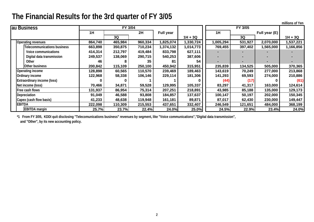| millions of Yen |  |
|-----------------|--|
|                 |  |

| au Business                        |         | <b>FY 3/04</b> |         |                  |           |           | FY 3/05 |               |           |
|------------------------------------|---------|----------------|---------|------------------|-----------|-----------|---------|---------------|-----------|
|                                    | 1H      |                | 2H      | <b>Full year</b> |           | 1H        |         | Full year (E) |           |
|                                    |         | 3Q             |         |                  | $1H + 3Q$ |           | 3Q      |               | $1H + 3Q$ |
| <b>Operating revenues</b>          | 864,740 | 465,984        | 960,334 | 1,825,074        | 1,330,724 | 1,005,294 | 531,927 | 2,070,000     | 1,537,221 |
| <b>Telecommunications business</b> | 663,898 | 350,875        | 710,234 | 1,374,132        | 1,014,773 | 769,455   | 397,402 | 1,565,000     | 1,166,856 |
| Voice communications               | 414,314 | 212,797        | 419,484 | 833,798          | 627,111   |           |         |               |           |
| Digital data transmission          | 249,537 | 138,069        | 290,715 | 540,253          | 387,606   |           |         |               |           |
| Other                              | 46      |                | 35      | 81               | 54        |           |         |               |           |
| Other business                     | 200,842 | 115,109        | 250,100 | 450,942          | 315,951   | 235,839   | 134,525 | 505,000       | 370,365   |
| <b>Operating income</b>            | 128,898 | 60,565         | 110,570 | 239,469          | 189,463   | 143,619   | 70,249  | 277,000       | 213,868   |
| Ordinary income                    | 122,968 | 58,338         | 106,146 | 229,114          | 181,306   | 141,293   | 69,593  | 274,000       | 210,886   |
| <b>Extraordinary income (loss)</b> |         | 0              |         |                  | 0         | (44)      | (17)    |               | (61)      |
| Net income (loss)                  | 70,466  | 34,871         | 59,528  | 129,995          | 105,337   | 83,297    | 41,317  | 163,000       | 124,614   |
| Free cash flows                    | 131,937 | 86,954         | 75,314  | 207,251          | 218,891   | 43,985    | 85,188  | 135,000       | 129,173   |
| Depreciation                       | 91,049  | 46,588         | 93,808  | 184,857          | 137,637   | 100,147   | 50,197  | 202,000       | 150,345   |
| Capex (cash flow basis)            | 41,233  | 48,638         | 119,948 | 161,181          | 89,871    | 87,017    | 62,430  | 230,000       | 149,447   |
| <b>EBITDA</b>                      | 222,098 | 110,309        | 215,553 | 437,651          | 332,407   | 246,549   | 121,651 | 484,000       | 368,199   |
| <b>EBITDA</b> margin               | 25.7%   | 23.7%          | 22.4%   | 24.0%            | 25.0%     | 24.5%     | 22.9%   | 23.4%         | 24.0%     |

**\*1 From FY 3/05, KDDI quit disclosing "Telecomunications business" revenues by segment, like "Voice communications","Digital data transmission", and "Other", by its new accounting policy.**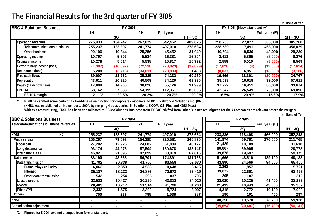**millions of Yen**

| <b>BBC &amp; Solutions Business</b> |          | FY 3/04   |           |                  |           |           | FY 3/05 (New standard) $*1$ |               |           |
|-------------------------------------|----------|-----------|-----------|------------------|-----------|-----------|-----------------------------|---------------|-----------|
|                                     | 1H       |           | 2H        | <b>Full year</b> |           | 1H        |                             | Full year (E) |           |
|                                     |          | 3Q        |           |                  | $1H + 3Q$ |           | 3Q                          |               | $1H + 3Q$ |
| <b>Operating revenues</b>           | 275,433  | 134,242   | 267,029   | 542,462          | 409,675   | 258,233   | 127,027                     | 508,000       | 385,260   |
| <b>Telecommunications business</b>  | 255,237  | 123,397   | 241,774   | 497,010          | 378,634   | 238,539   | 117,491                     | 468,000       | 356,029   |
| <b>Other business</b>               | 20,196   | 10,844    | 25,256    | 45,452           | 31,040    | 19,694    | 9,536                       | 40,000        | 29,230    |
| <b>Operating income</b>             | 10,797   | 5,507     | 5,584     | 16,381           | 16,304    | 2,411     | 5,865                       | (8,000)       | 8,276     |
| Ordinary income                     | 10,278   | 5,514     | 5,538     | 15,817           | 15,792    | 2,559     | 6,010                       | (8,000)       | 8,569     |
| <b>Extraordinary income (loss)</b>  | (1, 307) | (16, 592) | (72, 516) | (73, 823)        | (17, 899) | (17, 620) | (4)                         | (19,000)      | (17, 624) |
| Net income (loss)                   | 5,208    | (3,715)   | (34, 011) | (28, 803)        | 1,493     | (8,037)   | 4,851                       | (13,000)      | (3, 186)  |
| Free cash flows                     | 39,007   | 21,252    | 35,225    | 74,232           | 60,259    | 16,466    | 18,301                      | (10,000)      | 34,767    |
| Depreciation                        | 43,611   | 20,325    | 40,509    | 84,120           | 63,936    | 38,593    | 19,018                      | 79,000        | 57,611    |
| Capex (cash flow basis)             | 17,099   | 14,900    | 38,026    | 55,126           | 31,999    | 17,222    | 16,451                      | 86,000        | 33,674    |
| <b>EBITDA</b>                       | 58,162   | 27,533    | 54,199    | 112,361          | 85,695    | 42,547    | 26,549                      | 79,000        | 69,096    |
| <b>EBITDA</b> margin                | 21.1%    | 20.5%     | 20.3%     | 20.7%            | 20.9%     | 16.5%     | 20.9%                       | 15.6%         | 17.9%     |

**\*1 KDDI has shifted some parts of its fixed-line sales function for corporate costomers, to KDDI Network & Solutions Inc. (KNSL).**

**(KNSL was established on November 1, 2004, b y mergin g 4 subsidiaries, K-Solutions, KCOM, OSI Plus and KDDI Msat)**

**With this restructurin g, KNSL has been consolidated to BBC&Solutions Business from FY 3/05, shifted from Other Businesses. (figures for the 4 companies are relevant before the merger) millions of Yen**

| <b>BBC &amp; Solutions Business</b>  |         | FY 3/04 |         |                  |           |           | FY 3/05   |               |           |
|--------------------------------------|---------|---------|---------|------------------|-----------|-----------|-----------|---------------|-----------|
| Telecommunications business revenues | 1H      |         | 2H      | <b>Full year</b> |           | 1H        |           | Full year (E) |           |
|                                      |         | 3Q      |         |                  | $1H + 3Q$ |           | <b>3Q</b> |               | $1H + 3Q$ |
| KDDI<br>$*2$                         | 255,237 | 123,397 | 241,774 | 497,010          | 378,634   | 233,836   | 118,408   | 466,000       | 352,243   |
| Voice service                        | 166,297 | 79,593  | 154,285 | 320,581          | 245,890   | 141,974   | 69,791    | 276,500       | 211,765   |
| Local call                           | 27,202  | 12,925  | 24,682  | 51,884           | 40,127    | 21,429    | 10,189    |               | 31,618    |
| Long distance call                   | 93,174  | 44,973  | 87,504  | 180,678          | 138,147   | 80,867    | 39,905    |               | 120,772   |
| International call                   | 45,921  | 21,695  | 42,099  | 88,019           | 67,616    | 39,678    | 19,697    |               | 59,375    |
| Data service                         | 88,190  | 43,568  | 86,701  | 174,891          | 131,758   | 91,666    | 48,516    | 189,100       | 140,182   |
| Data transmission                    | 41,792  | 20,838  | 41,766  | 83,558           | 62,630    | 43,890    | 24,566    | 94,000        | 68,456    |
| Frame relay / cell relay             | 6,062   | 2,353   | 4,586   | 10,648           | 8,415     | 3,863     | 1,857     |               | 5,721     |
| Internet                             | 35,187  | 18,232  | 36,886  | 72,073           | 53,419    | 39,822    | 22,601    |               | 62,423    |
| Other data transmission              | 542     | 254     | 295     | 837              | 796       | 205       | 107       |               | 312       |
| Leased circuits                      | 23,583  | 10,437  | 20,229  | 43,812           | 34,020    | 22,020    | 10,235    | 41,400        | 32,255    |
| <b>IP-VPN</b>                        | 20,483  | 10,717  | 21,314  | 41,796           | 31,200    | 21,439    | 10,943    | 43,600        | 32,382    |
| <b>Ether-VPN</b>                     | 2,332   | 1,575   | 3,392   | 5,724            | 3,907     | 4,318     | 2,772     | 10,100        | 7,090     |
| Others                               | 750     | 237     | 788     | 1,538            | 987       | 196       | 101       | 400           | 297       |
| <b>KNSL</b>                          |         |         |         |                  |           | 40,358    | 19,570    | 78,700        | 59,928    |
| <b>Consolidation adjustment</b>      |         |         |         |                  |           | (35, 654) | (20, 487) | (76, 700)     | (56, 141) |

**\*2 Figures for KDDI have not changed from former standard.**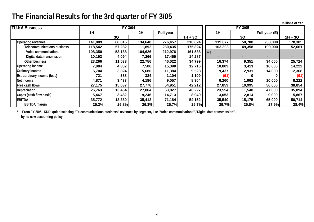|                                    |         |         |         |                  |           |         |         |               | millions of Yen |
|------------------------------------|---------|---------|---------|------------------|-----------|---------|---------|---------------|-----------------|
| <b>TU-KA Business</b>              |         | FY 3/04 |         |                  |           |         | FY 3/05 |               |                 |
|                                    | 1H      |         | 2H      | <b>Full year</b> |           | 1H      |         | Full year (E) |                 |
|                                    |         | 3Q      |         |                  | $1H + 3Q$ |         | 3Q      |               | $1H + 3Q$       |
| <b>Operating revenues</b>          | 141,809 | 68,815  | 134,648 | 276,457          | 210,624   | 119,677 | 58,708  | 233,000       | 178,385         |
| <b>Telecommunications business</b> | 118,542 | 57,282  | 111,892 | 230,435          | 175,824   | 103,303 | 49,358  | 199,000       | 152,661         |
| Voice communications               | 108,350 | 53,188  | 104,626 | 212,976          | 161,538   | $*1$    |         |               |                 |
| Digital data transmission          | 10,193  | 4,094   | 7,266   | 17,459           | 14,287    |         |         |               |                 |
| Other business                     | 23,266  | 11,533  | 22,756  | 46,022           | 34,799    | 16,374  | 9,351   | 34,000        | 25,724          |
| Operating income                   | 7,884   | 4,832   | 7,506   | 15,390           | 12,716    | 10,809  | 3,413   | 16,000        | 14,222          |
| Ordinary income                    | 5,704   | 3,824   | 5,680   | 11,384           | 9,528     | 9,437   | 2,931   | 14,000        | 12,368          |
| <b>Extraordinary income (loss)</b> | 721     | 388     | 384     | 1,104            | 1,109     | (91)    |         |               | (91)            |
| Net income                         | 4,871   | 3,433   | 4,186   | 9,057            | 8,304     | 6,260   | 1,962   | 10,000        | 8,222           |
| Free cash flows                    | 27,175  | 15,037  | 27,776  | 54,951           | 42,212    | 27,859  | 10,995  | 56,000        | 38,854          |
| Depreciation                       | 26,763  | 13,464  | 27,064  | 53,827           | 40,227    | 23,554  | 11,540  | 47,000        | 35,094          |
| Capex (cash flow basis)            | 5,467   | 3,482   | 9,246   | 14,713           | 8,949     | 3,053   | 2,814   | 9,000         | 5,867           |
| <b>EBITDA</b>                      | 35,772  | 18,380  | 35,412  | 71,184           | 54,152    | 35,540  | 15,175  | 65,000        | 50,714          |
| <b>EBITDA</b> margin               | 25.2%   | 26.8%   | 26.3%   | 25.7%            | 25.7%     | 29.7%   | 25.8%   | 27.9%         | 28.4%           |

**\*1 From FY 3/05, KDDI quit disclosing "Telecomunications business" revenues by segment, like "Voice communications","Digital data transmission", by its new accounting policy.**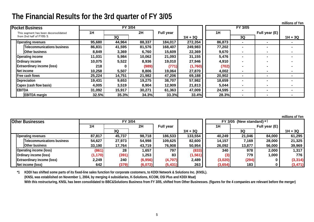|                                      |        |                |        |                  |           |        |                |                | millions of Yen |
|--------------------------------------|--------|----------------|--------|------------------|-----------|--------|----------------|----------------|-----------------|
| <b>Pocket Business</b>               |        | <b>FY 3/04</b> |        |                  |           |        | <b>FY 3/05</b> |                |                 |
| This segment has been deconsolidated | 1H     |                | 2H     | <b>Full year</b> |           | 1H     |                | Full year (E)  |                 |
| from 2nd half of FY05/3.             |        | 3Q             |        |                  | $1H + 3Q$ |        | 3Q             |                | $1H + 3Q$       |
| <b>Operating revenues</b>            | 95,680 | 44,964         | 88,337 | 184,017          | 272,354   | 86,873 | $\blacksquare$ | $\blacksquare$ |                 |
| <b>Telecommunications business</b>   | 86,831 | 41,595         | 81,576 | 168,407          | 249,983   | 77,202 |                |                |                 |
| <b>Other business</b>                | 8,849  | 3,369          | 6,760  | 15,609           | 22,369    | 9,670  | $\sim$         | $\blacksquare$ |                 |
| Operating income                     | 11,031 | 5,984          | 10,062 | 21,093           | 31,155    | 5,476  |                |                |                 |
| Ordinary income                      | 10,075 | 5,522          | 8,936  | 19,010           | 27,946    | 4,910  |                |                |                 |
| <b>Extraordinary income (loss)</b>   | 218    | 0              | (989)  | (771)            | (1,760)   | (702)  |                |                |                 |
| Net income                           | 10,258 | 5,507          | 8,806  | 19,064           | 27,870    | 4,002  |                | $\blacksquare$ |                 |
| Free cash flows                      | 25,224 | 14,751         | 21,982 | 47,206           | 69,188    | 20,902 |                | $\sim$         |                 |
| Depreciation                         | 19,431 | 9,653          | 19,275 | 38,707           | 57,982    | 18,659 |                |                |                 |
| Capex (cash flow basis)              | 4,005  | 3,519          | 8,904  | 12,909           | 21,813    | 5,044  |                | $\sim$         |                 |
| <b>EBITDA</b>                        | 31,092 | 15,917         | 30,271 | 61,363           | 47,009    | 24,595 | $\blacksquare$ | $\blacksquare$ |                 |
| <b>EBITDA</b> margin                 | 32.5%  | 35.3%          | 34.3%  | 33.3%            | 33.4%     | 28.3%  |                | $\blacksquare$ |                 |

**millions of Yen**

| <b>Other Businesses</b> |                                    |          | FY 3/04 |         |                  |           |         | FY 3/05 (New standard) $*1$ |               |           |
|-------------------------|------------------------------------|----------|---------|---------|------------------|-----------|---------|-----------------------------|---------------|-----------|
|                         |                                    | 1H       |         | 2H      | <b>Full year</b> |           | 1H      |                             | Full year (E) |           |
|                         |                                    |          | 3Q      |         |                  | $1H + 3Q$ |         | 3Q                          |               | $1H + 3Q$ |
|                         | Operating revenues                 | 87,817   | 45,737  | 98,718  | 186,533          | 133,554   | 40,249  | 21,046                      | 84,000        | 61,295    |
|                         | Telecommunications business        | 54,627   | 27,973  | 54,998  | 109,625          | 82,600    | 14,157  | 7,169                       | 28,000        | 21,325    |
|                         | Other business                     | 33,190   | 17,764  | 43,719  | 76,908           | 50,954    | 26,092  | 13,877                      | 56,000        | 39,969    |
|                         | Operating income (loss)            | (861)    | 28      | 1,657   | 797              | (833)     | 340     | 978                         | 2,000         | 1,317     |
|                         | Ordinary income (loss)             | (1, 170) | (391)   | 1,253   | 83               | (1, 561)  | (3)     | 779                         | 1,000         | 776       |
|                         | <b>Extraordinary income (loss)</b> | 2,249    | 240     | (6,956) | (4,707)          | 2,489     | (3,020) | (294)                       |               | (3, 314)  |
|                         | Net income (loss)                  | 642      | (379)   | (6,072) | (5, 431)         | 263       | (3,654) | 183                         |               | (3, 471)  |

**\*1 KDDI has shifted some parts of its fixed-line sales function for corporate costomers, to KDDI Network & Solutions Inc. (KNSL). (KNSL was established on November 1, 2004, by merging 4 subsidiaries, K-Solutions, KCOM, OSI Plus and KDDI Msat)** With this restructuring, KNSL has been consolidated to BBC&Solutions Business from FY 3/05, shifted from Other Businesses. (figures for the 4 companies are relevant before the merger)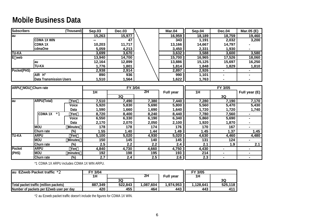# **Mobile Business Data**

| <b>Subscribers</b> |                                | (Thousand)        | <b>Sep.03</b> | <b>Dec.03</b>    |       | <b>Mar.04</b>    | Sep.04           | <b>Dec.04</b>  | Mar.05 (E)     |
|--------------------|--------------------------------|-------------------|---------------|------------------|-------|------------------|------------------|----------------|----------------|
| au                 |                                |                   | 15,263        | 15,977           |       | 16,959           | 18,189           | 18,759         | 19,460         |
|                    | <b>CDMA 1X WIN</b>             |                   |               | 47               |       | 343              | 1,191            | 2,032          | 3,200          |
|                    | <b>CDMA1X</b>                  |                   | 10,203        | 11,717           |       | 13,166           | 14,667           | 14,797         |                |
|                    | cdmaOne                        |                   | 5,059         | 4,213            |       | 3,450            | 2,331            | 1,930          |                |
| <b>TU-KA</b>       |                                |                   | 3,699         | 3,670            |       | 3,632            | 3,588            | 3,600          | 3,580          |
| $\overline{E}$ web |                                |                   | 13,940        | 14,700           |       | 15,700           | 16,965           | 17,526         | 18,060         |
|                    | au                             |                   | 12,164        | 12,899           |       | 13,886           | 15,125           | 15,697         | 16,250         |
|                    | <b>TU-KA</b>                   |                   | 1,776         | 1,801            |       | 1,814            | 1,848            | 1,829          | 1,810          |
| Pocket(PHS)        |                                |                   | 2,938         | 2,914            |       | 2,897            | 2,926            | $\blacksquare$ |                |
|                    | AIR H"                         |                   | 890           | 936              |       | 990              | 1,101            | $\blacksquare$ |                |
|                    | <b>Data Transmission Users</b> |                   | 1,510         | 1,564            |       | 1,622            | 1,763            | $\blacksquare$ |                |
|                    |                                |                   |               |                  |       |                  |                  |                |                |
| ARPU MOU           | Churn rate                     |                   |               | FY 3/04          |       |                  |                  | FY 3/05        |                |
|                    |                                |                   | 1H            |                  | 2H    | <b>Full year</b> | 1H               |                | Full year (E)  |
|                    |                                |                   |               | 3Q               |       |                  |                  | 3Q             |                |
| au                 | <b>ARPU(Total)</b>             | Yen               | 7,510         | 7,490            | 7,380 | 7,440            | 7,280            | 7,190          | 7,170          |
|                    |                                | Voice             | 5,920         | 5,830            | 5,690 | 5,800            | 5,560            | 5,470          | 5,430          |
|                    |                                | Data              | 1,590         | 1,660            | 1,690 | 1,640            | 1,720            | 1,720          | 1,740          |
|                    | <b>CDMA1X</b><br>$*1$          | Yen               | 8,720         | 8,400            | 8,240 | 8,440            | 7,780            | 7,560          |                |
|                    |                                | Voice             | 6,550         | 6,330            | 6,190 | 6,340            | 5,860            | 5,690          |                |
|                    |                                | Data              | 2,170         | 2,070            | 2,050 | 2,100            | 1,920            | 1,870          |                |
|                    | <b>MOU</b>                     | <b>Minutes</b>    | 178           | 178              | 174   | 176              | 170              | 167            | $\blacksquare$ |
|                    | Churn rate                     | $(\%)$            | 1.55          | 1.40             | 1.44  | 1.49             | 1.45             | 1.37           | 1.45           |
| <b>TU-KA</b>       | <b>ARPU</b>                    | Yen               | 5,100         | 5,020            | 4,930 | 5,020            | 4,630            | 4,460          | 4,480          |
|                    | <b>MOU</b>                     | <b>Minutes</b>    | 150           | 145              | 140   | $\overline{145}$ | $\overline{131}$ | 124            |                |
|                    | Churn rate                     | (%)               | 2.5           | $\overline{2.2}$ | 2.2   | 2.4              | 2.1              | 1.9            | 2.1            |
| Pocket             | <b>ARPU</b>                    | Yen               | 4,840         | 4,730            | 4,660 | 4,750            | 4,430            | $\blacksquare$ | $\blacksquare$ |
| (PHS)              | <b>MOU</b>                     | minutes           | 192           | 198              | 195   | 193              | 214              | $\blacksquare$ | $\blacksquare$ |
|                    | Churn rate                     | $\overline{(\%)}$ | 2.7           | 2.4              | 2.5   | 2.6              | 2.3              | $\blacksquare$ |                |

\*1 CDMA 1X ARPU includes CDMA 1X WIN ARPU.

| EZweb Packet traffic $*2$<br>lau         | 3/04<br>FΥ |         |           |                  | FY 3/05   |         |
|------------------------------------------|------------|---------|-----------|------------------|-----------|---------|
|                                          | 2H<br>1H   |         |           | <b>Full year</b> | 1H        |         |
|                                          |            | 3Q      |           |                  |           | 3Q      |
| Total packet traffic (million packets)   | 887,349    | 522,843 | 1,087,604 | 1,974,953        | 1,128,641 | 525,118 |
| Number of packets per EZweb user per day | 420        | 455     | 464       | 443              | 443       | 411     |

\*2 au Ezweb packet traffic doesn't include the figures for CDMA 1X WIN.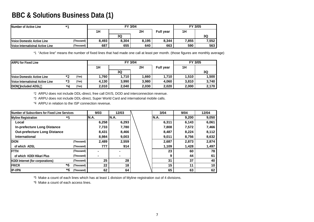#### **BBC & Solutions Business Data (1)**

| Number of Active Line            | $*$        |       | FY 3/04 | FY 3/05 |                  |       |       |
|----------------------------------|------------|-------|---------|---------|------------------|-------|-------|
|                                  |            | 1H    |         | 2H      | <b>Full year</b> | 1H    |       |
|                                  |            |       | 3Q      |         |                  |       | 3Q    |
| Voice Domestic Active Line       | (Thousand) | 8.493 | 8.304   | 8.195   | 8,344            | 7,855 | 7,552 |
| Voice Internatioinal Active Line | (Thousand) | 687   | 655     | 640     | 663              | 590   | 563   |

\*1 "Active line" means the number of fixed lines that had made one call at least per month. (those figures are monthly average)

| <b>ARPU for Fixed Line</b>       |      |       |       | FY 3/04 | FY 3/05 |                  |       |       |
|----------------------------------|------|-------|-------|---------|---------|------------------|-------|-------|
|                                  |      |       | 1H    |         | 2H      | <b>Full year</b> | 1H    |       |
|                                  |      |       |       | 3Q      |         |                  |       | 3Q    |
| Voice Domestic Active Line       | $*$  | (Yen) | 760،، | 1.710   | 660. ا  | 1,710            | 1,510 | 1,500 |
| Voice Internatioinal Active Line | $*2$ | (Yen) | 4.130 | 3.990   | 3.980   | 4,060            | 3,810 | 3.740 |
| DION included ADSL               | ×д   | (Yen) | 2,010 | 2,040   | 2,030   | 2,020            | 2,000 | 2,170 |

\*2 ARPU does not include DDL-direct, free call DX/S, DOD and interconnection revenue.

\*3 ARPU does not include DDL-direct, Super World Card and international mobile calls.

\*4 ARPU in relation to the ISP connection revenue.

| Number of Subscribers for Fixed Line Services | 9/03             | 12/03 | 3/04  | 9/04  | 12/04 |       |
|-----------------------------------------------|------------------|-------|-------|-------|-------|-------|
| <b>Myline Registration</b>                    | *5               | IN.A. | N.A.  | IN.A. | 9,200 | 9,050 |
| Local                                         |                  | 6,258 | 6,293 | 6,311 | 6,143 | 6,061 |
| <b>In-prefecture Long Distance</b>            | 7,733            | 7,780 | 7,808 | 7,572 | 7,466 |       |
| <b>Out-prefecture Long Distance</b>           | 8,431            | 8,466 | 8,487 | 8,224 | 8,112 |       |
| International                                 |                  | 8,984 | 9,003 | 9,011 | 8.756 | 8,632 |
| <b>IDION</b>                                  | (Thousand)       | 2,489 | 2,559 | 2,687 | 2,873 | 2,874 |
| of which ADSL                                 | (Thousand)       | 777   | 914   | 1,109 | 1,428 | 1,497 |
| <b>FTTH</b>                                   | (Thousand)       |       |       | 23    | 60    | 78    |
| of which KDDI Hikari Plus                     | (Thousand)       |       |       | 9     | 44    | 61    |
| <b>KDDI</b> Internet (for corporations)       | (Thousand)       | 25    | 28    | 31    | 37    | 40    |
| <b>FR/CR</b>                                  | *6<br>(Thousand) | 22    | 18    | 15    | 11    | 10    |
| <b>IP-VPN</b>                                 | *6<br>(Thousand) | 62    | 64    | 65    | 63    | 62    |

\*5 Make a count of each lines which has at least 1 division of Myline registration out of 4 divisions.

\*6 Make a count of each access lines.